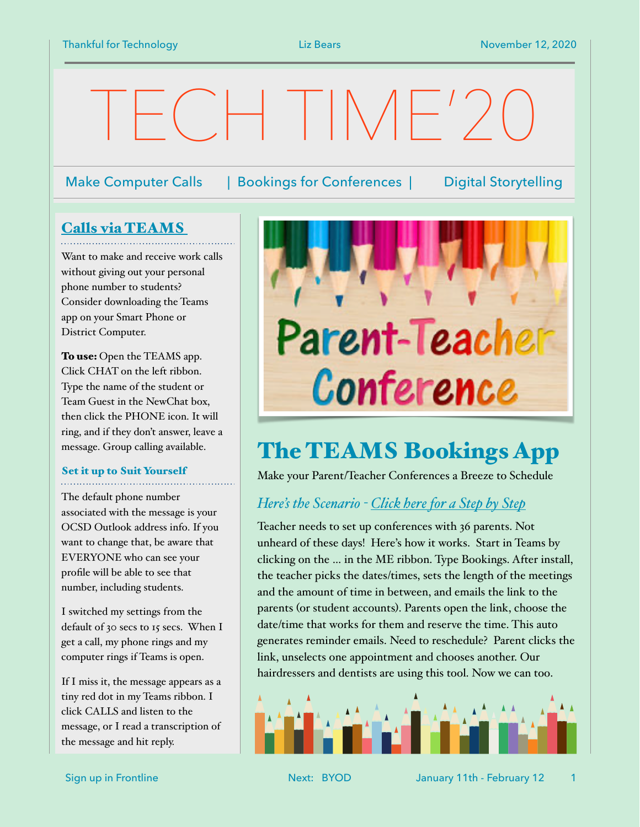# $T\left[\left[\left[\left[\right]\right]\right] + \left[\left[\right]\right]\right]$

### Make Computer Calls | Bookings for Conferences | Digital Storytelling

## [Calls via TEAMS](https://youtu.be/8K7pjxz39hg)

Want to make and receive work calls without giving out your personal phone number to students? Consider downloading the Teams app on your Smart Phone or District Computer.

To use: Open the TEAMS app. Click CHAT on the left ribbon. Type the name of the student or Team Guest in the NewChat box, then click the PHONE icon. It will ring, and if they don't answer, leave a message. Group calling available.

#### Set it up to Suit Yourself

The default phone number associated with the message is your OCSD Outlook address info. If you want to change that, be aware that EVERYONE who can see your profile will be able to see that number, including students.

I switched my settings from the default of 30 secs to 15 secs. When I get a call, my phone rings and my computer rings if Teams is open.

If I miss it, the message appears as a tiny red dot in my Teams ribbon. I click CALLS and listen to the message, or I read a transcription of the message and hit reply.



## The TEAMS Bookings App

Make your Parent/Teacher Conferences a Breeze to Schedule

## *Here's the Scenario - [Click here for a Step by Step](https://microsoft365pro.co.uk/2020/05/31/teams-real-simple-with-pictures-getting-started-with-bookings-in-teams-for-managing-virtual-appointments/)*

Teacher needs to set up conferences with 36 parents. Not unheard of these days! Here's how it works. Start in Teams by clicking on the … in the ME ribbon. Type Bookings. After install, the teacher picks the dates/times, sets the length of the meetings and the amount of time in between, and emails the link to the parents (or student accounts). Parents open the link, choose the date/time that works for them and reserve the time. This auto generates reminder emails. Need to reschedule? Parent clicks the link, unselects one appointment and chooses another. Our hairdressers and dentists are using this tool. Now we can too.